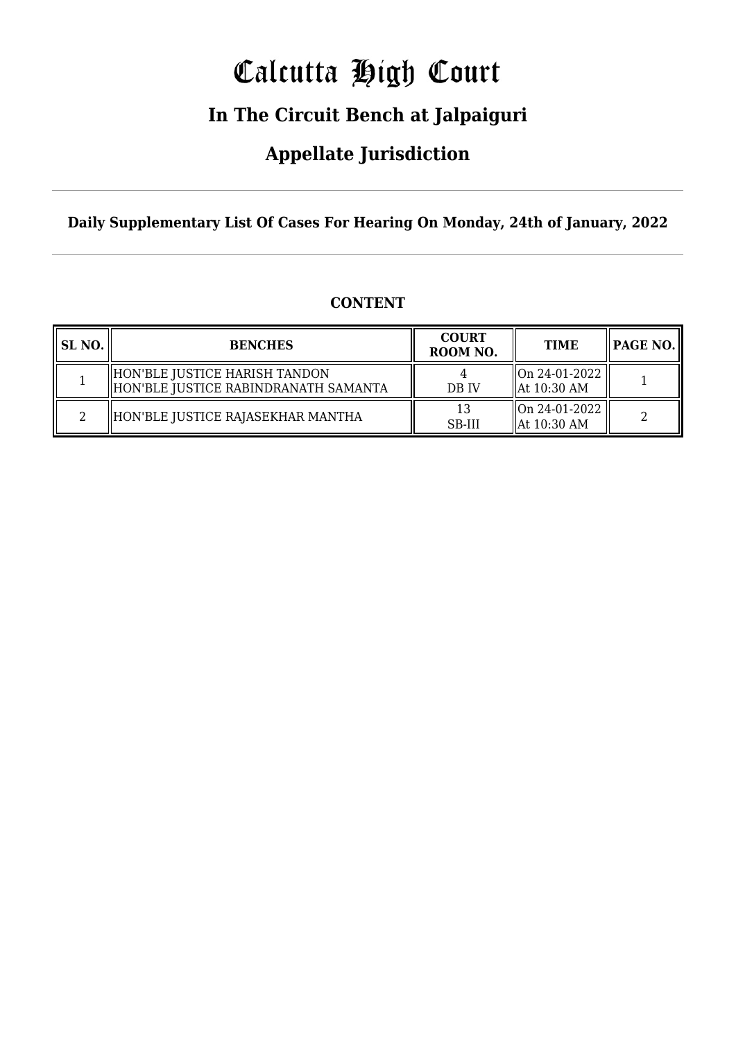# Calcutta High Court

### **In The Circuit Bench at Jalpaiguri**

### **Appellate Jurisdiction**

**Daily Supplementary List Of Cases For Hearing On Monday, 24th of January, 2022**

|  | <b>CONTENT</b> |
|--|----------------|
|--|----------------|

| <b>SL NO.</b> | <b>BENCHES</b>                                                          | <b>COURT</b><br>ROOM NO. | <b>TIME</b>                              | $\parallel$ PAGE NO. $\parallel$ |
|---------------|-------------------------------------------------------------------------|--------------------------|------------------------------------------|----------------------------------|
|               | HON'BLE JUSTICE HARISH TANDON<br>  HON'BLE JUSTICE RABINDRANATH SAMANTA | DB IV                    | On 24-01-2022<br>$\parallel$ At 10:30 AM |                                  |
|               | HON'BLE JUSTICE RAJASEKHAR MANTHA                                       | 13<br>SB-III             | On 24-01-2022<br>$\parallel$ At 10:30 AM | ŋ                                |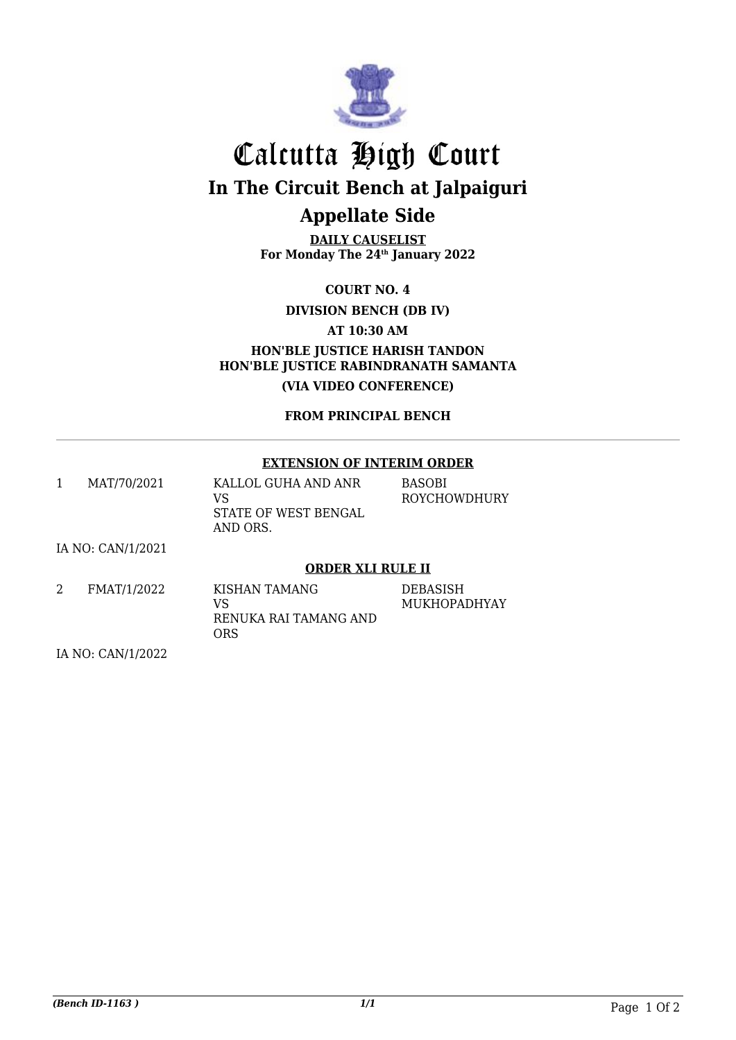

## Calcutta High Court **In The Circuit Bench at Jalpaiguri Appellate Side**

**DAILY CAUSELIST For Monday The 24th January 2022**

**COURT NO. 4**

**DIVISION BENCH (DB IV)**

**AT 10:30 AM**

**HON'BLE JUSTICE HARISH TANDON HON'BLE JUSTICE RABINDRANATH SAMANTA (VIA VIDEO CONFERENCE)**

**FROM PRINCIPAL BENCH**

#### **EXTENSION OF INTERIM ORDER**

| MAT/70/2021 | KALLOL GUHA AND ANR  | <b>BASOBI</b> |
|-------------|----------------------|---------------|
|             | VS                   | ROYCHOWDHURY  |
|             | STATE OF WEST BENGAL |               |
|             | AND ORS.             |               |

IA NO: CAN/1/2021

#### **ORDER XLI RULE II**

| FMAT/1/2022 | KISHAN TAMANG         | <b>DEBASISH</b> |
|-------------|-----------------------|-----------------|
|             | VS                    | MUKHOPADHYAY    |
|             | RENUKA RAI TAMANG AND |                 |
|             | ORS                   |                 |

IA NO: CAN/1/2022